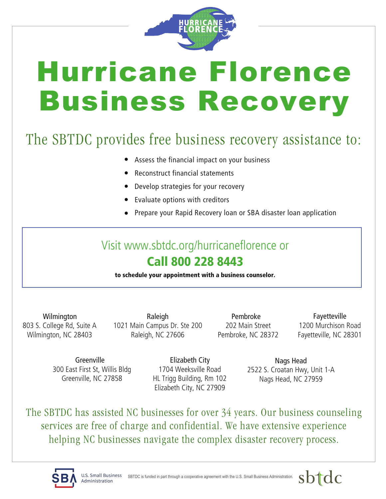

## Hurricane Florence Business Recovery

## The SBTDC provides free business recovery assistance to:

- Assess the financial impact on your business
- Reconstruct financial statements
- Develop strategies for your recovery
- Evaluate options with creditors
- Prepare your Rapid Recovery loan or SBA disaster loan application

## Visit www.sbtdc.org/hurricaneflorence or Call 800 228 8443

to schedule your appointment with a business counselor.

Wilmington 803 S. College Rd, Suite A Wilmington, NC 28403

Raleigh 1021 Main Campus Dr. Ste 200 Raleigh, NC 27606

Pembroke 202 Main Street Pembroke, NC 28372

Fayetteville 1200 Murchison Road Fayetteville, NC 28301

**Greenville** 300 East First St, Willis Bldg Greenville, NC 27858

Elizabeth City 1704 Weeksville Road HL Trigg Building, Rm 102 Elizabeth City, NC 27909

Nags Head 2522 S. Croatan Hwy, Unit 1-A Nags Head, NC 27959

The SBTDC has assisted NC businesses for over 34 years. Our business counseling services are free of charge and confidential. We have extensive experience helping NC businesses navigate the complex disaster recovery process.